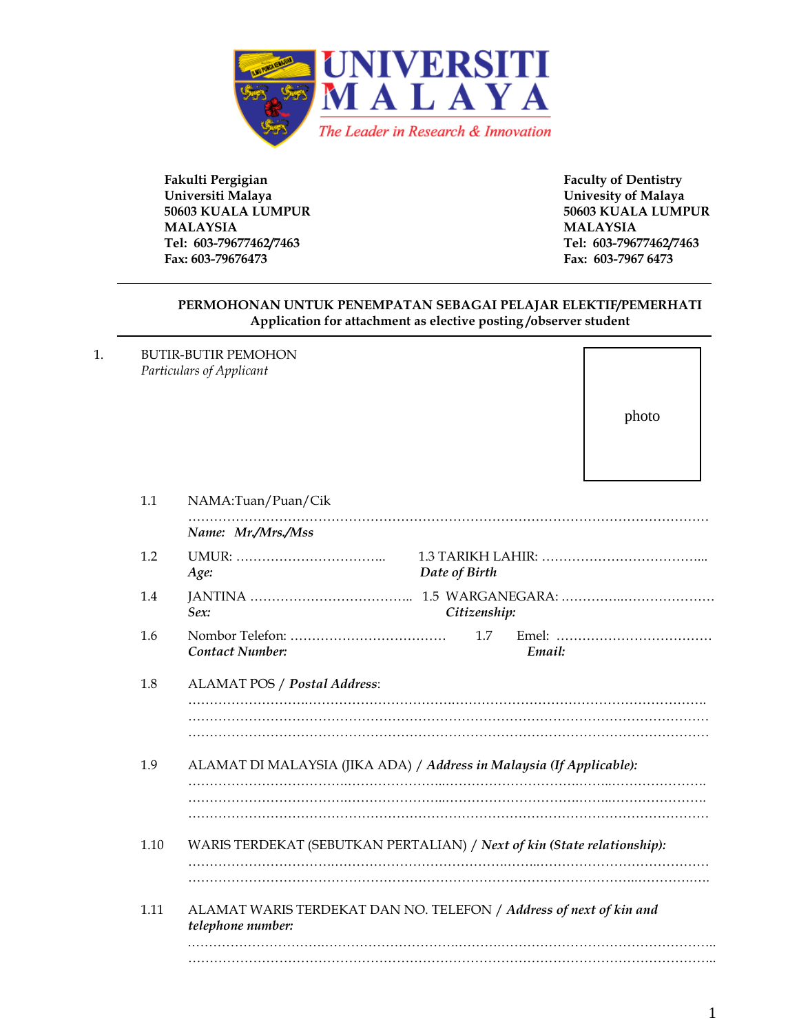

**Fakulti Pergigian Faculty of Dentistry Universiti Malaya Univesity of Malaya 50603 KUALA LUMPUR 50603 KUALA LUMPUR MALAYSIA MALAYSIA Tel: 603-79677462/7463 Tel: 603-79677462/7463 Fax: 603-79676473 Fax: 603-7967 6473**

#### **PERMOHONAN UNTUK PENEMPATAN SEBAGAI PELAJAR ELEKTIF/PEMERHATI Application for attachment as elective posting /observer student**

1. BUTIR-BUTIR PEMOHON *Particulars of Applicant*

photo

| 1.1  | NAMA:Tuan/Puan/Cik                                                                      |  |  |  |
|------|-----------------------------------------------------------------------------------------|--|--|--|
|      | Name: Mr./Mrs./Mss                                                                      |  |  |  |
| 1.2  | Date of Birth<br>Age:                                                                   |  |  |  |
| 1.4  | Sex:<br>Citizenship:                                                                    |  |  |  |
| 1.6  | 1.7<br><b>Contact Number:</b><br>Email:                                                 |  |  |  |
| 1.8  | ALAMAT POS / Postal Address:                                                            |  |  |  |
|      |                                                                                         |  |  |  |
| 1.9  | ALAMAT DI MALAYSIA (JIKA ADA) / Address in Malaysia (If Applicable):                    |  |  |  |
|      |                                                                                         |  |  |  |
| 1.10 | WARIS TERDEKAT (SEBUTKAN PERTALIAN) / Next of kin (State relationship):                 |  |  |  |
|      |                                                                                         |  |  |  |
| 1.11 | ALAMAT WARIS TERDEKAT DAN NO. TELEFON / Address of next of kin and<br>telephone number: |  |  |  |
|      |                                                                                         |  |  |  |
|      |                                                                                         |  |  |  |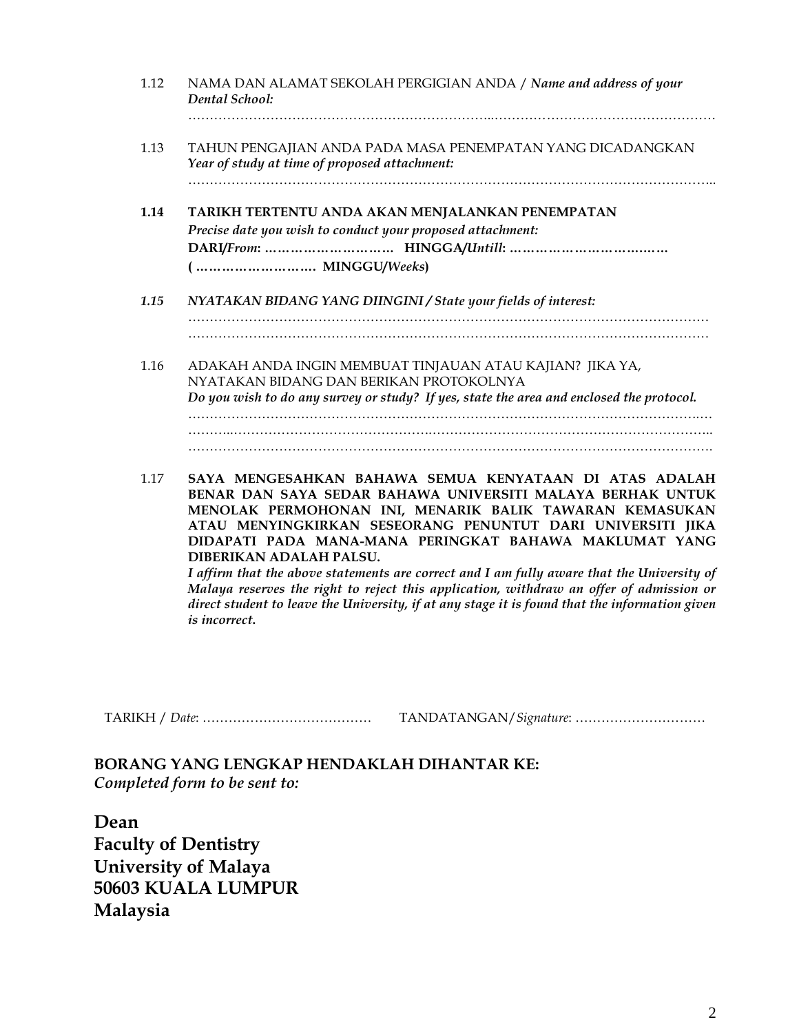| 1.12 | NAMA DAN ALAMAT SEKOLAH PERGIGIAN ANDA / Name and address of your<br>Dental School:                                                                                                                                                           |
|------|-----------------------------------------------------------------------------------------------------------------------------------------------------------------------------------------------------------------------------------------------|
| 1.13 | TAHUN PENGAJIAN ANDA PADA MASA PENEMPATAN YANG DICADANGKAN<br>Year of study at time of proposed attachment:                                                                                                                                   |
| 1.14 | TARIKH TERTENTU ANDA AKAN MENJALANKAN PENEMPATAN<br>Precise date you wish to conduct your proposed attachment:<br>(  MINGGU/Weeks)                                                                                                            |
| 1.15 | NYATAKAN BIDANG YANG DIINGINI / State your fields of interest:                                                                                                                                                                                |
| 1.16 | ADAKAH ANDA INGIN MEMBUAT TINJAUAN ATAU KAJIAN? JIKA YA,<br>NYATAKAN BIDANG DAN BERIKAN PROTOKOLNYA<br>Do you wish to do any survey or study? If yes, state the area and enclosed the protocol.                                               |
| 1.17 | SAYA MENGESAHKAN BAHAWA SEMUA KENYATAAN DI ATAS ADALAH<br>BENAR DAN SAYA SEDAR BAHAWA UNIVERSITI MALAYA BERHAK UNTUK<br>MENOLAK PERMOHONAN INI, MENARIK BALIK TAWARAN KEMASUKAN<br>ATAU MENYINGKIRKAN SESEORANG PENUNTUT DARI UNIVERSITI JIKA |

**DIBERIKAN ADALAH PALSU.** *I affirm that the above statements are correct and I am fully aware that the University of Malaya reserves the right to reject this application, withdraw an offer of admission or direct student to leave the University, if at any stage it is found that the information given is incorrect***.**

**DIDAPATI PADA MANA-MANA PERINGKAT BAHAWA MAKLUMAT YANG** 

TARIKH / *Date*: ………………………………… TANDATANGAN/*Signature*: …………………………

**BORANG YANG LENGKAP HENDAKLAH DIHANTAR KE:** *Completed form to be sent to:*

**Dean Faculty of Dentistry University of Malaya 50603 KUALA LUMPUR Malaysia**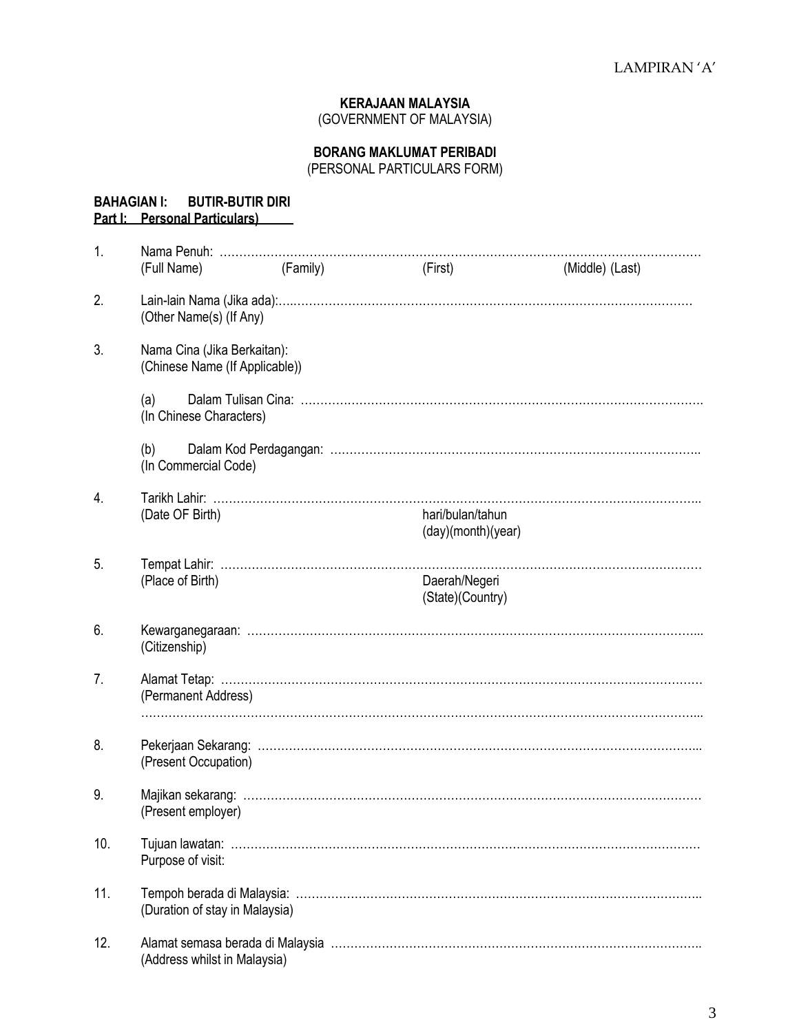## **KERAJAAN MALAYSIA**

(GOVERNMENT OF MALAYSIA)

#### **BORANG MAKLUMAT PERIBADI**

(PERSONAL PARTICULARS FORM)

**BAHAGIAN I: BUTIR-BUTIR DIRI**

# **Part I: Personal Particulars)** 1. Nama Penuh: …………………………………………………………………………………………………………… (Full Name) (Family) (First) (Middle) (Last) 2. Lain-lain Nama (Jika ada):….………………………………………………………………………………………… (Other Name(s) (If Any) 3. Nama Cina (Jika Berkaitan): (Chinese Name (If Applicable)) (a) Dalam Tulisan Cina: …………………………………………………………………………………………. (In Chinese Characters) (b) Dalam Kod Perdagangan: ………………………………………………………………………………….. (In Commercial Code) 4. Tarikh Lahir: …………………………………………………………………………………………………………….. (Date OF Birth) hari/bulan/tahun (day)(month)(year) 5. Tempat Lahir: …………………………………………………………………………………………………………… (Place of Birth) Daerah/Negeri (State)(Country) 6. Kewarganegaraan: ……………………………………………………………………………………………………... (Citizenship) 7. Alamat Tetap: …………………………………………………………………………………………………………… (Permanent Address) ……………………………………………………………………………………………………………………………... 8. Pekerjaan Sekarang: …………………………………………………………………………………………………... (Present Occupation) 9. Majikan sekarang: ……………………………………………………………………………………………………… (Present employer) 10. Tujuan lawatan: ………………………………………………………………………………………………………… Purpose of visit: 11. Tempoh berada di Malaysia: ………………………………………………………………………………………….. (Duration of stay in Malaysia) 12. Alamat semasa berada di Malaysia ………………………………………………………………………………….. (Address whilst in Malaysia)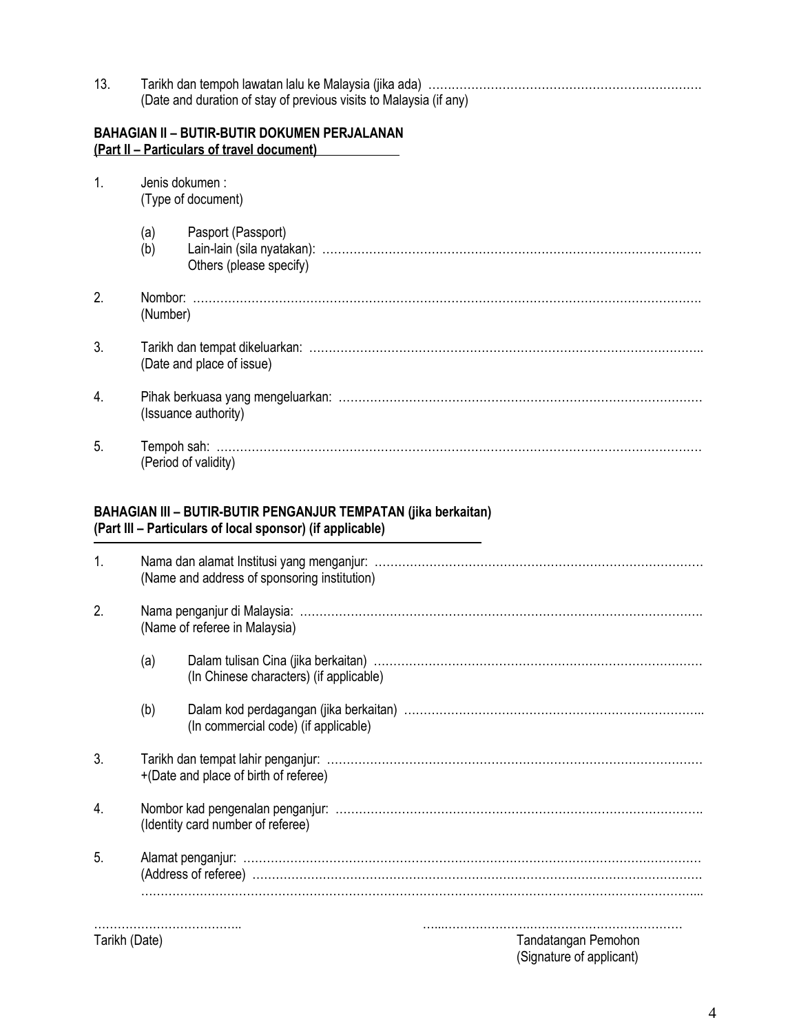13. Tarikh dan tempoh lawatan lalu ke Malaysia (jika ada) ……………………………………………………………. (Date and duration of stay of previous visits to Malaysia (if any)

## **BAHAGIAN II – BUTIR-BUTIR DOKUMEN PERJALANAN (Part II – Particulars of travel document)**

| 1.               | Jenis dokumen:<br>(Type of document) |                                               |  |  |
|------------------|--------------------------------------|-----------------------------------------------|--|--|
|                  | (a)<br>(b)                           | Pasport (Passport)<br>Others (please specify) |  |  |
| 2.               | (Number)                             |                                               |  |  |
| 3.               | (Date and place of issue)            |                                               |  |  |
| $\overline{4}$ . | (Issuance authority)                 |                                               |  |  |
| 5.               | (Period of validity)                 |                                               |  |  |

#### **BAHAGIAN III – BUTIR-BUTIR PENGANJUR TEMPATAN (jika berkaitan) (Part III – Particulars of local sponsor) (if applicable)**

| Tarikh (Date)    |                                              | Tandatangan Pemohon                     |  |  |
|------------------|----------------------------------------------|-----------------------------------------|--|--|
| 5.               |                                              |                                         |  |  |
| $\overline{4}$ . | (Identity card number of referee)            |                                         |  |  |
| 3.               | +(Date and place of birth of referee)        |                                         |  |  |
|                  | (b)                                          | (In commercial code) (if applicable)    |  |  |
|                  | (a)                                          | (In Chinese characters) (if applicable) |  |  |
| 2.               | (Name of referee in Malaysia)                |                                         |  |  |
| 1.               | (Name and address of sponsoring institution) |                                         |  |  |

(Signature of applicant)